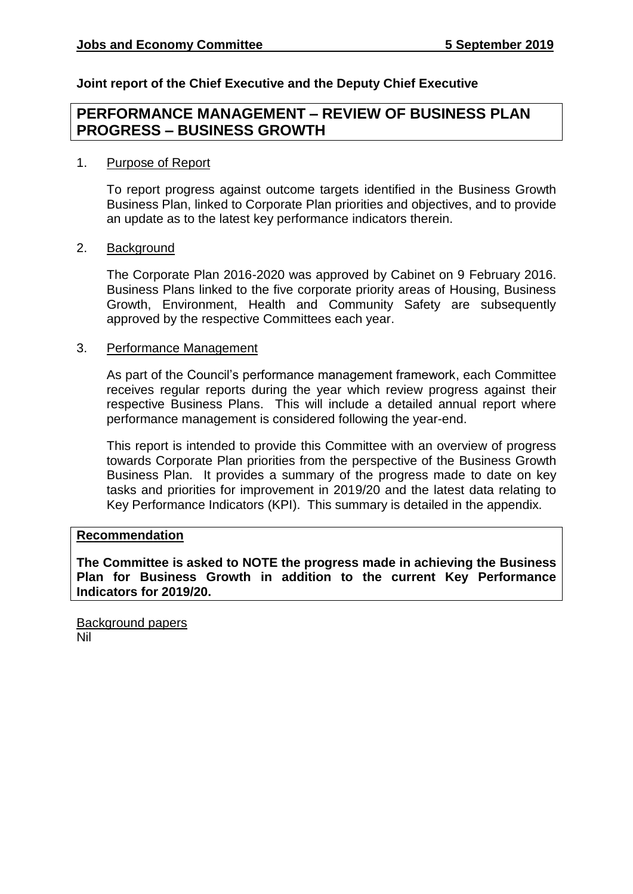## **Joint report of the Chief Executive and the Deputy Chief Executive**

## **PERFORMANCE MANAGEMENT – REVIEW OF BUSINESS PLAN PROGRESS – BUSINESS GROWTH**

### 1. Purpose of Report

To report progress against outcome targets identified in the Business Growth Business Plan, linked to Corporate Plan priorities and objectives, and to provide an update as to the latest key performance indicators therein.

#### 2. Background

The Corporate Plan 2016-2020 was approved by Cabinet on 9 February 2016. Business Plans linked to the five corporate priority areas of Housing, Business Growth, Environment, Health and Community Safety are subsequently approved by the respective Committees each year.

#### 3. Performance Management

As part of the Council's performance management framework, each Committee receives regular reports during the year which review progress against their respective Business Plans. This will include a detailed annual report where performance management is considered following the year-end.

This report is intended to provide this Committee with an overview of progress towards Corporate Plan priorities from the perspective of the Business Growth Business Plan. It provides a summary of the progress made to date on key tasks and priorities for improvement in 2019/20 and the latest data relating to Key Performance Indicators (KPI). This summary is detailed in the appendix.

#### **Recommendation**

**The Committee is asked to NOTE the progress made in achieving the Business Plan for Business Growth in addition to the current Key Performance Indicators for 2019/20.**

Background papers Nil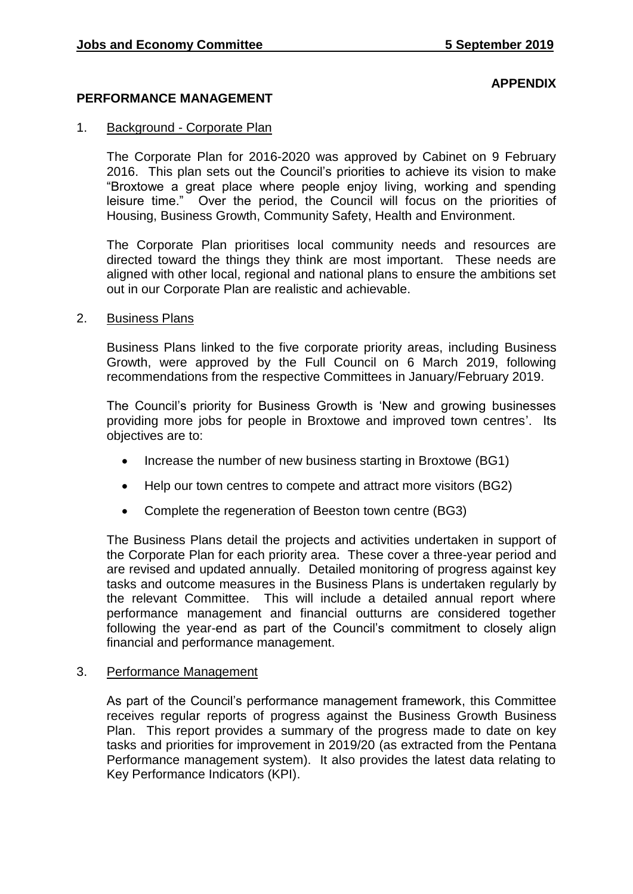### **APPENDIX**

#### **PERFORMANCE MANAGEMENT**

#### 1. Background - Corporate Plan

The Corporate Plan for 2016-2020 was approved by Cabinet on 9 February 2016. This plan sets out the Council's priorities to achieve its vision to make "Broxtowe a great place where people enjoy living, working and spending leisure time." Over the period, the Council will focus on the priorities of Housing, Business Growth, Community Safety, Health and Environment.

The Corporate Plan prioritises local community needs and resources are directed toward the things they think are most important. These needs are aligned with other local, regional and national plans to ensure the ambitions set out in our Corporate Plan are realistic and achievable.

#### 2. Business Plans

Business Plans linked to the five corporate priority areas, including Business Growth, were approved by the Full Council on 6 March 2019, following recommendations from the respective Committees in January/February 2019.

The Council's priority for Business Growth is 'New and growing businesses providing more jobs for people in Broxtowe and improved town centres'. Its objectives are to:

- Increase the number of new business starting in Broxtowe (BG1)
- Help our town centres to compete and attract more visitors (BG2)
- Complete the regeneration of Beeston town centre (BG3)

The Business Plans detail the projects and activities undertaken in support of the Corporate Plan for each priority area. These cover a three-year period and are revised and updated annually. Detailed monitoring of progress against key tasks and outcome measures in the Business Plans is undertaken regularly by the relevant Committee. This will include a detailed annual report where performance management and financial outturns are considered together following the year-end as part of the Council's commitment to closely align financial and performance management.

#### 3. Performance Management

As part of the Council's performance management framework, this Committee receives regular reports of progress against the Business Growth Business Plan. This report provides a summary of the progress made to date on key tasks and priorities for improvement in 2019/20 (as extracted from the Pentana Performance management system). It also provides the latest data relating to Key Performance Indicators (KPI).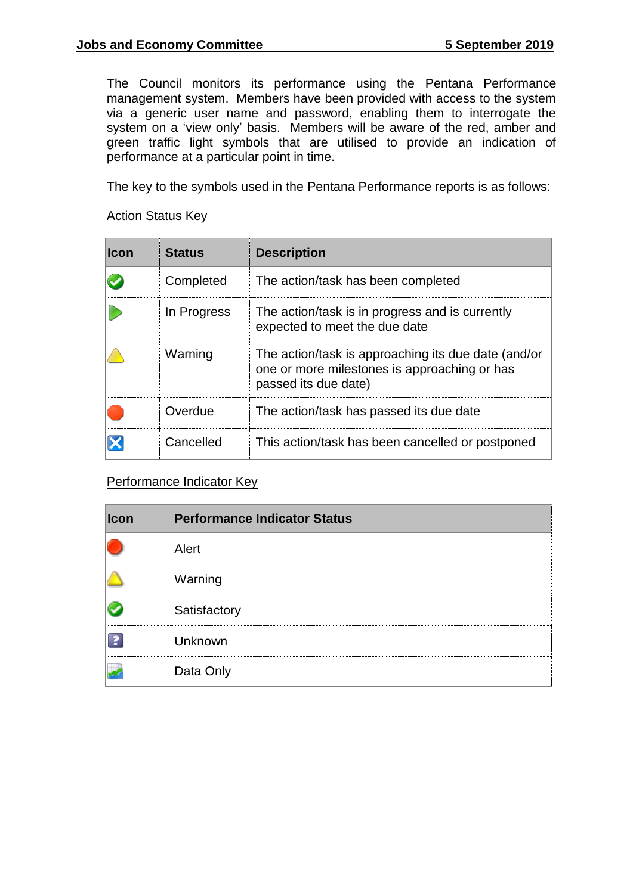The Council monitors its performance using the Pentana Performance management system. Members have been provided with access to the system via a generic user name and password, enabling them to interrogate the system on a 'view only' basis. Members will be aware of the red, amber and green traffic light symbols that are utilised to provide an indication of performance at a particular point in time.

The key to the symbols used in the Pentana Performance reports is as follows:

### Action Status Key

| <b>Icon</b> | <b>Status</b> | <b>Description</b>                                                                                                          |
|-------------|---------------|-----------------------------------------------------------------------------------------------------------------------------|
|             | Completed     | The action/task has been completed                                                                                          |
|             | In Progress   | The action/task is in progress and is currently<br>expected to meet the due date                                            |
|             | Warning       | The action/task is approaching its due date (and/or<br>one or more milestones is approaching or has<br>passed its due date) |
|             | Overdue       | The action/task has passed its due date                                                                                     |
|             | Cancelled     | This action/task has been cancelled or postponed                                                                            |

Performance Indicator Key

| $ l$ con | <b>Performance Indicator Status</b> |
|----------|-------------------------------------|
|          | Alert                               |
|          | Warning                             |
|          | Satisfactory                        |
|          | Unknown                             |
|          | Data Only                           |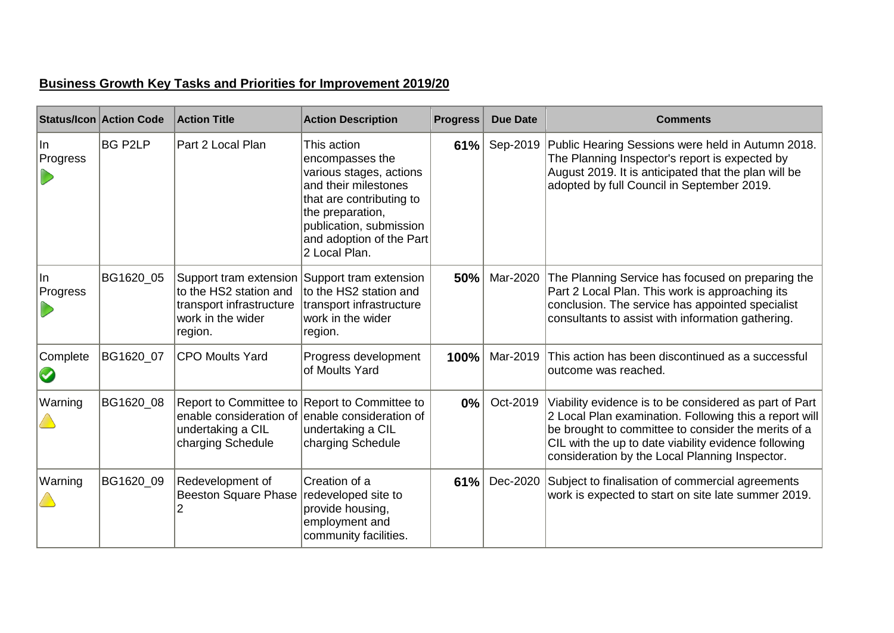# **Business Growth Key Tasks and Priorities for Improvement 2019/20**

|                 | <b>Status/Icon Action Code</b> | <b>Action Title</b>                                                                | <b>Action Description</b>                                                                                                                                                                                 | <b>Progress</b> | <b>Due Date</b> | <b>Comments</b>                                                                                                                                                                                                                                                                   |
|-----------------|--------------------------------|------------------------------------------------------------------------------------|-----------------------------------------------------------------------------------------------------------------------------------------------------------------------------------------------------------|-----------------|-----------------|-----------------------------------------------------------------------------------------------------------------------------------------------------------------------------------------------------------------------------------------------------------------------------------|
| In<br>Progress  | BG P2LP                        | Part 2 Local Plan                                                                  | This action<br>encompasses the<br>various stages, actions<br>and their milestones<br>that are contributing to<br>the preparation,<br>publication, submission<br>and adoption of the Part<br>2 Local Plan. | 61%             |                 | Sep-2019   Public Hearing Sessions were held in Autumn 2018.<br>The Planning Inspector's report is expected by<br>August 2019. It is anticipated that the plan will be<br>adopted by full Council in September 2019.                                                              |
| lln<br>Progress | BG1620_05                      | to the HS2 station and<br>transport infrastructure<br>work in the wider<br>region. | Support tram extension Support tram extension<br>to the HS2 station and<br>transport infrastructure<br>work in the wider<br>region.                                                                       | 50%             | Mar-2020        | The Planning Service has focused on preparing the<br>Part 2 Local Plan. This work is approaching its<br>conclusion. The service has appointed specialist<br>consultants to assist with information gathering.                                                                     |
| Complete        | BG1620_07                      | <b>CPO Moults Yard</b>                                                             | Progress development<br>of Moults Yard                                                                                                                                                                    | 100%            | Mar-2019        | This action has been discontinued as a successful<br>outcome was reached.                                                                                                                                                                                                         |
| Warning         | BG1620_08                      | undertaking a CIL<br>charging Schedule                                             | Report to Committee to Report to Committee to<br>enable consideration of enable consideration of<br>undertaking a CIL<br>charging Schedule                                                                | $0\%$           | Oct-2019        | Viability evidence is to be considered as part of Part<br>2 Local Plan examination. Following this a report will<br>be brought to committee to consider the merits of a<br>CIL with the up to date viability evidence following<br>consideration by the Local Planning Inspector. |
| Warning         | BG1620_09                      | Redevelopment of<br><b>Beeston Square Phase</b>                                    | Creation of a<br>redeveloped site to<br>provide housing,<br>employment and<br>community facilities.                                                                                                       | 61%             | Dec-2020        | Subject to finalisation of commercial agreements<br>work is expected to start on site late summer 2019.                                                                                                                                                                           |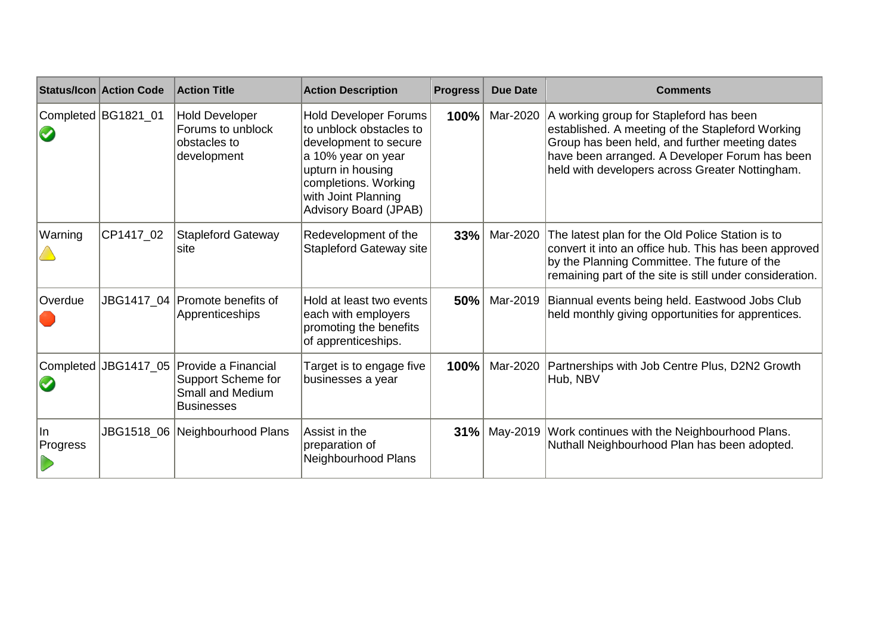|                | <b>Status/Icon Action Code</b> | <b>Action Title</b>                                                                       | <b>Action Description</b>                                                                                                                                                                                  | <b>Progress</b> | <b>Due Date</b> | <b>Comments</b>                                                                                                                                                                                                                                    |  |  |  |
|----------------|--------------------------------|-------------------------------------------------------------------------------------------|------------------------------------------------------------------------------------------------------------------------------------------------------------------------------------------------------------|-----------------|-----------------|----------------------------------------------------------------------------------------------------------------------------------------------------------------------------------------------------------------------------------------------------|--|--|--|
|                | Completed BG1821_01            | <b>Hold Developer</b><br>Forums to unblock<br>obstacles to<br>development                 | <b>Hold Developer Forums</b><br>to unblock obstacles to<br>development to secure<br>a 10% year on year<br>upturn in housing<br>completions. Working<br>with Joint Planning<br><b>Advisory Board (JPAB)</b> | 100%            | Mar-2020        | A working group for Stapleford has been<br>established. A meeting of the Stapleford Working<br>Group has been held, and further meeting dates<br>have been arranged. A Developer Forum has been<br>held with developers across Greater Nottingham. |  |  |  |
| Warning        | CP1417_02                      | <b>Stapleford Gateway</b><br>site                                                         | Redevelopment of the<br><b>Stapleford Gateway site</b>                                                                                                                                                     | 33%             | Mar-2020        | The latest plan for the Old Police Station is to<br>convert it into an office hub. This has been approved<br>by the Planning Committee. The future of the<br>remaining part of the site is still under consideration.                              |  |  |  |
| Overdue        |                                | JBG1417_04   Promote benefits of<br>Apprenticeships                                       | Hold at least two events<br>each with employers<br>promoting the benefits<br>of apprenticeships.                                                                                                           | 50%             | Mar-2019        | Biannual events being held. Eastwood Jobs Club<br>held monthly giving opportunities for apprentices.                                                                                                                                               |  |  |  |
|                | Completed JBG1417_05           | Provide a Financial<br>Support Scheme for<br><b>Small and Medium</b><br><b>Businesses</b> | Target is to engage five<br>businesses a year                                                                                                                                                              | 100%            | Mar-2020        | Partnerships with Job Centre Plus, D2N2 Growth<br>Hub, NBV                                                                                                                                                                                         |  |  |  |
| In<br>Progress |                                | JBG1518_06 Neighbourhood Plans                                                            | Assist in the<br>preparation of<br>Neighbourhood Plans                                                                                                                                                     | 31%             | May-2019        | Work continues with the Neighbourhood Plans.<br>Nuthall Neighbourhood Plan has been adopted.                                                                                                                                                       |  |  |  |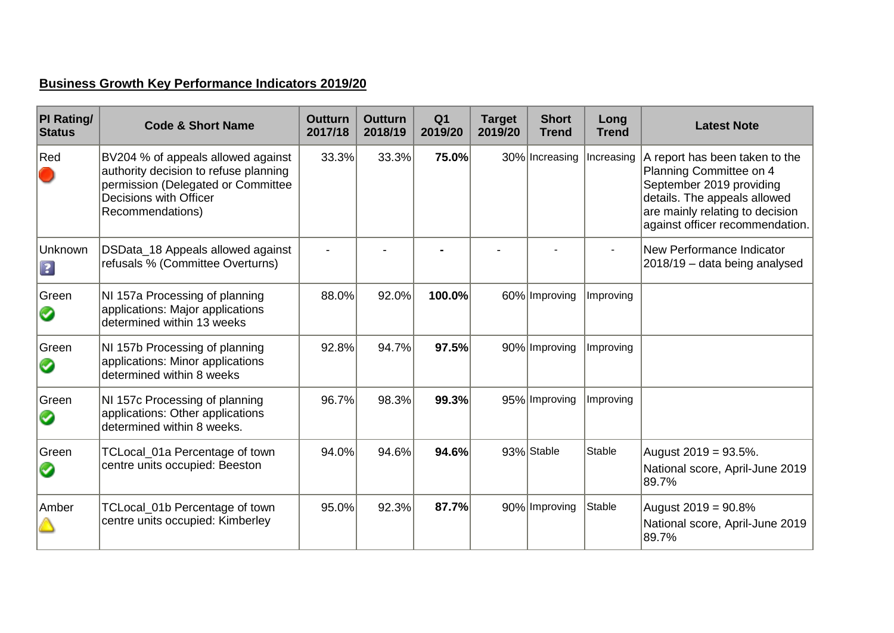# **Business Growth Key Performance Indicators 2019/20**

| <b>PI Rating/</b><br><b>Status</b> | <b>Code &amp; Short Name</b>                                                                                                                                    | <b>Outturn</b><br>2017/18 | <b>Outturn</b><br>2018/19 | Q <sub>1</sub><br>2019/20 | <b>Target</b><br>2019/20 | <b>Short</b><br><b>Trend</b> | Long<br><b>Trend</b> | <b>Latest Note</b>                                                                                                                                                                          |
|------------------------------------|-----------------------------------------------------------------------------------------------------------------------------------------------------------------|---------------------------|---------------------------|---------------------------|--------------------------|------------------------------|----------------------|---------------------------------------------------------------------------------------------------------------------------------------------------------------------------------------------|
| Red                                | BV204 % of appeals allowed against<br>authority decision to refuse planning<br>permission (Delegated or Committee<br>Decisions with Officer<br>Recommendations) | 33.3%                     | 33.3%                     | 75.0%                     |                          | 30% Increasing               | Increasing           | A report has been taken to the<br>Planning Committee on 4<br>September 2019 providing<br>details. The appeals allowed<br>are mainly relating to decision<br>against officer recommendation. |
| Unknown<br>$\boxed{?}$             | DSData_18 Appeals allowed against<br>refusals % (Committee Overturns)                                                                                           |                           |                           |                           |                          |                              |                      | New Performance Indicator<br>2018/19 - data being analysed                                                                                                                                  |
| Green<br>Ø                         | NI 157a Processing of planning<br>applications: Major applications<br>determined within 13 weeks                                                                | 88.0%                     | 92.0%                     | 100.0%                    |                          | 60% Improving                | Improving            |                                                                                                                                                                                             |
| Green<br>$\mathbf{v}$              | NI 157b Processing of planning<br>applications: Minor applications<br>determined within 8 weeks                                                                 | 92.8%                     | 94.7%                     | 97.5%                     |                          | 90% Improving                | Improving            |                                                                                                                                                                                             |
| Green<br>$\mathbf{v}$              | NI 157c Processing of planning<br>applications: Other applications<br>determined within 8 weeks.                                                                | 96.7%                     | 98.3%                     | 99.3%                     |                          | 95% Improving                | Improving            |                                                                                                                                                                                             |
| Green<br>Ø                         | TCLocal_01a Percentage of town<br>centre units occupied: Beeston                                                                                                | 94.0%                     | 94.6%                     | 94.6%                     |                          | 93% Stable                   | Stable               | August 2019 = 93.5%.<br>National score, April-June 2019<br>89.7%                                                                                                                            |
| Amber                              | TCLocal_01b Percentage of town<br>centre units occupied: Kimberley                                                                                              | 95.0%                     | 92.3%                     | 87.7%                     |                          | 90% Improving                | Stable               | August 2019 = 90.8%<br>National score, April-June 2019<br>89.7%                                                                                                                             |